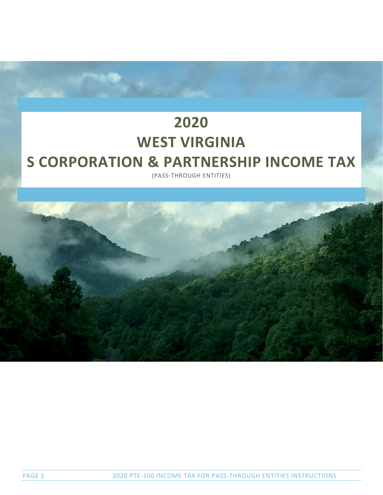# **2020 WEST VIRGINIA S CORPORATION & PARTNERSHIP INCOME TAX**

(PASS‐THROUGH ENTITIES)

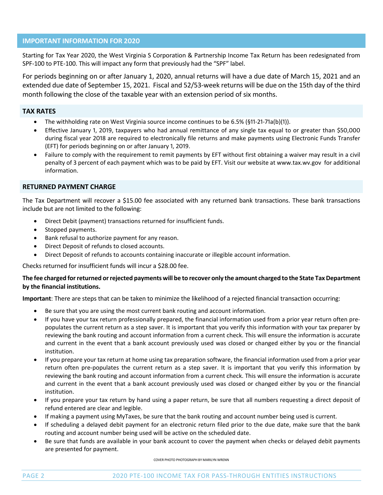# **IMPORTANT INFORMATION FOR 2020**

Starting for Tax Year 2020, the West Virginia S Corporation & Partnership Income Tax Return has been redesignated from SPF‐100 to PTE‐100. This will impact any form that previously had the "SPF" label.

For periods beginning on or after January 1, 2020, annual returns will have a due date of March 15, 2021 and an extended due date of September 15, 2021. Fiscal and 52/53‐week returns will be due on the 15th day of the third month following the close of the taxable year with an extension period of six months.

# **TAX RATES**

- The withholding rate on West Virginia source income continues to be 6.5% (§11-21-71a(b)(1)).
- Effective January 1, 2019, taxpayers who had annual remittance of any single tax equal to or greater than \$50,000 during fiscal year 2018 are required to electronically file returns and make payments using Electronic Funds Transfer (EFT) for periods beginning on or after January 1, 2019.
- Failure to comply with the requirement to remit payments by EFT without first obtaining a waiver may result in a civil penalty of 3 percent of each payment which was to be paid by EFT. Visit our website at www.tax.wv.gov for additional information.

# **RETURNED PAYMENT CHARGE**

The Tax Department will recover a \$15.00 fee associated with any returned bank transactions. These bank transactions include but are not limited to the following:

- Direct Debit (payment) transactions returned for insufficient funds.
- Stopped payments.
- Bank refusal to authorize payment for any reason.
- Direct Deposit of refunds to closed accounts.
- Direct Deposit of refunds to accounts containing inaccurate or illegible account information.

Checks returned for insufficient funds will incur a \$28.00 fee.

# The fee charged for returned or rejected payments will be to recover only the amount charged to the State Tax Department **by the financial institutions.**

**Important**: There are steps that can be taken to minimize the likelihood of a rejected financial transaction occurring:

- Be sure that you are using the most current bank routing and account information.
- If you have your tax return professionally prepared, the financial information used from a prior year return often prepopulates the current return as a step saver. It is important that you verify this information with your tax preparer by reviewing the bank routing and account information from a current check. This will ensure the information is accurate and current in the event that a bank account previously used was closed or changed either by you or the financial institution.
- If you prepare your tax return at home using tax preparation software, the financial information used from a prior year return often pre‐populates the current return as a step saver. It is important that you verify this information by reviewing the bank routing and account information from a current check. This will ensure the information is accurate and current in the event that a bank account previously used was closed or changed either by you or the financial institution.
- If you prepare your tax return by hand using a paper return, be sure that all numbers requesting a direct deposit of refund entered are clear and legible.
- If making a payment using MyTaxes, be sure that the bank routing and account number being used is current.
- If scheduling a delayed debit payment for an electronic return filed prior to the due date, make sure that the bank routing and account number being used will be active on the scheduled date.
- Be sure that funds are available in your bank account to cover the payment when checks or delayed debit payments are presented for payment.

COVER PHOTO PHOTOGRAPH BY MARILYN WRENN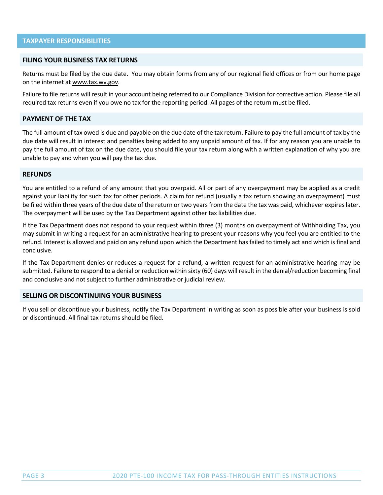# **FILING YOUR BUSINESS TAX RETURNS**

Returns must be filed by the due date. You may obtain forms from any of our regional field offices or from our home page on the internet at www.tax.wv.gov.

Failure to file returns will result in your account being referred to our Compliance Division for corrective action. Please file all required tax returns even if you owe no tax for the reporting period. All pages of the return must be filed.

# **PAYMENT OF THE TAX**

The full amount of tax owed is due and payable on the due date of the tax return. Failure to pay the full amount of tax by the due date will result in interest and penalties being added to any unpaid amount of tax. If for any reason you are unable to pay the full amount of tax on the due date, you should file your tax return along with a written explanation of why you are unable to pay and when you will pay the tax due.

## **REFUNDS**

You are entitled to a refund of any amount that you overpaid. All or part of any overpayment may be applied as a credit against your liability for such tax for other periods. A claim for refund (usually a tax return showing an overpayment) must be filed within three years of the due date of the return or two years from the date the tax was paid, whichever expires later. The overpayment will be used by the Tax Department against other tax liabilities due.

If the Tax Department does not respond to your request within three (3) months on overpayment of Withholding Tax, you may submit in writing a request for an administrative hearing to present your reasons why you feel you are entitled to the refund. Interest is allowed and paid on any refund upon which the Department hasfailed to timely act and which is final and conclusive.

If the Tax Department denies or reduces a request for a refund, a written request for an administrative hearing may be submitted. Failure to respond to a denial or reduction within sixty (60) days will result in the denial/reduction becoming final and conclusive and not subject to further administrative or judicial review.

## **SELLING OR DISCONTINUING YOUR BUSINESS**

If you sell or discontinue your business, notify the Tax Department in writing as soon as possible after your business is sold or discontinued. All final tax returns should be filed.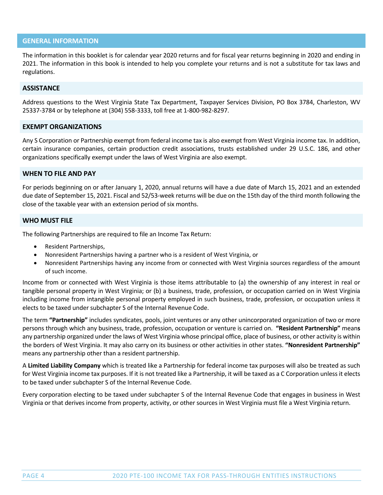# **GENERAL INFORMATION**

The information in this booklet is for calendar year 2020 returns and for fiscal year returns beginning in 2020 and ending in 2021. The information in this book is intended to help you complete your returns and is not a substitute for tax laws and regulations.

## **ASSISTANCE**

Address questions to the West Virginia State Tax Department, Taxpayer Services Division, PO Box 3784, Charleston, WV 25337‐3784 or by telephone at (304) 558‐3333, toll free at 1‐800‐982‐8297.

# **EXEMPT ORGANIZATIONS**

Any S Corporation or Partnership exempt from federal income tax is also exempt from West Virginia income tax. In addition, certain insurance companies, certain production credit associations, trusts established under 29 U.S.C. 186, and other organizations specifically exempt under the laws of West Virginia are also exempt.

# **WHEN TO FILE AND PAY**

For periods beginning on or after January 1, 2020, annual returns will have a due date of March 15, 2021 and an extended due date of September 15, 2021. Fiscal and 52/53-week returns will be due on the 15th day of the third month following the close of the taxable year with an extension period of six months.

## **WHO MUST FILE**

The following Partnerships are required to file an Income Tax Return:

- Resident Partnerships,
- Nonresident Partnerships having a partner who is a resident of West Virginia, or
- Nonresident Partnerships having any income from or connected with West Virginia sources regardless of the amount of such income.

Income from or connected with West Virginia is those items attributable to (a) the ownership of any interest in real or tangible personal property in West Virginia; or (b) a business, trade, profession, or occupation carried on in West Virginia including income from intangible personal property employed in such business, trade, profession, or occupation unless it elects to be taxed under subchapter S of the Internal Revenue Code.

The term **"Partnership"** includes syndicates, pools, joint ventures or any other unincorporated organization of two or more persons through which any business, trade, profession, occupation or venture is carried on. **"Resident Partnership"** mean**s** any partnership organized under the laws of West Virginia whose principal office, place of business, or other activity is within the borders of West Virginia. It may also carry on its business or other activities in other states. **"Nonresident Partnership"** means any partnership other than a resident partnership.

A **Limited Liability Company** which is treated like a Partnership for federal income tax purposes will also be treated as such for West Virginia income tax purposes. If it is not treated like a Partnership, it will be taxed as a C Corporation unless it elects to be taxed under subchapter S of the Internal Revenue Code.

Every corporation electing to be taxed under subchapter S of the Internal Revenue Code that engages in business in West Virginia or that derives income from property, activity, or other sources in West Virginia must file a West Virginia return.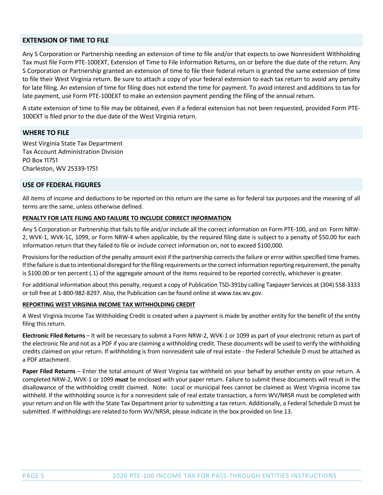## **EXTENSION OF TIME TO FILE**

Any S Corporation or Partnership needing an extension of time to file and/or that expects to owe Nonresident Withholding Tax must file Form PTE‐100EXT, Extension of Time to File Information Returns, on or before the due date of the return. Any S Corporation or Partnership granted an extension of time to file their federal return is granted the same extension of time to file their West Virginia return. Be sure to attach a copy of your federal extension to each tax return to avoid any penalty for late filing. An extension of time for filing does not extend the time for payment. To avoid interest and additions to tax for late payment, use Form PTE‐100EXT to make an extension payment pending the filing of the annual return.

A state extension of time to file may be obtained, even if a federal extension has not been requested, provided Form PTE‐ 100EXT is filed prior to the due date of the West Virginia return.

# **WHERE TO FILE**

West Virginia State Tax Department Tax Account Administration Division PO Box 11751 Charleston, WV 25339-1751

# **USE OF FEDERAL FIGURES**

All items of income and deductions to be reported on this return are the same as for federal tax purposes and the meaning of all terms are the same, unless otherwise defined.

## **PENALTY FOR LATE FILING AND FAILURE TO INCLUDE CORRECT INFORMATION**

Any S Corporation or Partnership that fails to file and/or include all the correct information on Form PTE‐100, and on Form NRW‐ 2, WVK‐1, WVK‐1C, 1099, or Form NRW‐4 when applicable, by the required filing date is subject to a penalty of \$50.00 for each information return that they failed to file or include correct information on, not to exceed \$100,000.

Provisions for the reduction of the penalty amount exist if the partnership corrects the failure or error within specified time frames. If the failure is due to intentional disregard for the filing requirements or the correct information reporting requirement, the penalty is \$100.00 or ten percent (.1) of the aggregate amount of the items required to be reported correctly, whichever is greater.

For additional information about this penalty, request a copy of Publication TSD‐391by calling Taxpayer Services at (304) 558‐3333 or toll free at 1‐800‐982‐8297. Also, the Publication can be found online at www.tax.wv.gov.

## **REPORTING WEST VIRGINIA INCOME TAX WITHHOLDING CREDIT**

A West Virginia Income Tax Withholding Credit is created when a payment is made by another entity for the benefit of the entity filing this return.

**Electronic Filed Returns** – It will be necessary to submit a Form NRW‐2, WVK‐1 or 1099 as part of your electronic return as part of the electronic file and not as a PDF if you are claiming a withholding credit. These documents will be used to verify the withholding credits claimed on your return. If withholding is from nonresident sale of real estate ‐ the Federal Schedule D must be attached as a PDF attachment.

**Paper Filed Returns** – Enter the total amount of West Virginia tax withheld on your behalf by another entity on your return. A completed NRW‐2, WVK‐1 or 1099 *must* be enclosed with your paper return. Failure to submit these documents will result in the disallowance of the withholding credit claimed. Note: Local or municipal fees cannot be claimed as West Virginia income tax withheld. If the withholding source is for a nonresident sale of real estate transaction, a form WV/NRSR must be completed with your return and on file with the State Tax Department prior to submitting a tax return. Additionally, a Federal Schedule D must be submitted. If withholdings are related to form WV/NRSR, please indicate in the box provided on line 13.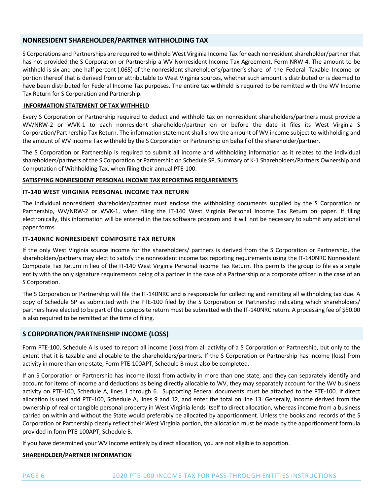# **NONRESIDENT SHAREHOLDER/PARTNER WITHHOLDING TAX**

S Corporations and Partnerships are required to withhold West Virginia Income Tax for each nonresident shareholder/partner that has not provided the S Corporation or Partnership a WV Nonresident Income Tax Agreement, Form NRW-4. The amount to be withheld is six and one‐half percent (.065) of the nonresident shareholder's/partner's share of the Federal Taxable Income or portion thereof that is derived from or attributable to West Virginia sources, whether such amount is distributed or is deemed to have been distributed for Federal Income Tax purposes. The entire tax withheld is required to be remitted with the WV Income Tax Return for S Corporation and Partnership.

# **INFORMATION STATEMENT OF TAX WITHHELD**

Every S Corporation or Partnership required to deduct and withhold tax on nonresident shareholders/partners must provide a WV/NRW‐2 or WVK‐1 to each nonresident shareholder/partner on or before the date it files its West Virginia S Corporation/Partnership Tax Return. The information statement shall show the amount of WV income subject to withholding and the amount of WV Income Tax withheld by the S Corporation or Partnership on behalf of the shareholder/partner.

The S Corporation or Partnership is required to submit all income and withholding information as it relates to the individual shareholders/partners of the S Corporation or Partnership on Schedule SP, Summary of K‐1 Shareholders/Partners Ownership and Computation of Withholding Tax, when filing their annual PTE‐100.

# **SATISFYING NONRESIDENT PERSONAL INCOME TAX REPORTING REQUIREMENTS**

## **IT‐140 WEST VIRGINIA PERSONAL INCOME TAX RETURN**

The individual nonresident shareholder/partner must enclose the withholding documents supplied by the S Corporation or Partnership, WV/NRW‐2 or WVK‐1, when filing the IT‐140 West Virginia Personal Income Tax Return on paper. If filing electronically, this information will be entered in the tax software program and it will not be necessary to submit any additional paper forms.

# **IT‐140NRC NONRESIDENT COMPOSITE TAX RETURN**

If the only West Virginia source income for the shareholders/ partners is derived from the S Corporation or Partnership, the shareholders/partners may elect to satisfy the nonresident income tax reporting requirements using the IT‐140NRC Nonresident Composite Tax Return in lieu of the IT‐140 West Virginia Personal Income Tax Return. This permits the group to file as a single entity with the only signature requirements being of a partner in the case of a Partnership or a corporate officer in the case of an S Corporation.

The S Corporation or Partnership will file the IT‐140NRC and is responsible for collecting and remitting all withholding tax due. A copy of Schedule SP as submitted with the PTE‐100 filed by the S Corporation or Partnership indicating which shareholders/ partners have elected to be part of the composite return must be submitted with the IT‐140NRC return. A processing fee of \$50.00 is also required to be remitted at the time of filing.

# **S CORPORATION/PARTNERSHIP INCOME (LOSS)**

Form PTE-100, Schedule A is used to report all income (loss) from all activity of a S Corporation or Partnership, but only to the extent that it is taxable and allocable to the shareholders/partners. If the S Corporation or Partnership has income (loss) from activity in more than one state, Form PTE‐100APT, Schedule B must also be completed.

If an S Corporation or Partnership has income (loss) from activity in more than one state, and they can separately identify and account for items of income and deductions as being directly allocable to WV, they may separately account for the WV business activity on PTE‐100, Schedule A, lines 1 through 6. Supporting Federal documents must be attached to the PTE‐100. If direct allocation is used add PTE‐100, Schedule A, lines 9 and 12, and enter the total on line 13. Generally, income derived from the ownership of real or tangible personal property in West Virginia lends itself to direct allocation, whereas income from a business carried on within and without the State would preferably be allocated by apportionment. Unless the books and records of the S Corporation or Partnership clearly reflect their West Virginia portion, the allocation must be made by the apportionment formula provided in form PTE‐100APT, Schedule B.

If you have determined your WV Income entirely by direct allocation, you are not eligible to apportion.

## **SHAREHOLDER/PARTNER INFORMATION**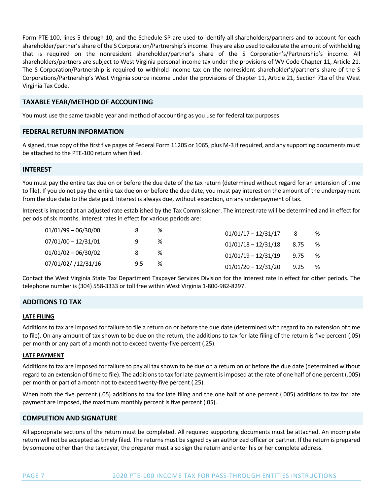Form PTE‐100, lines 5 through 10, and the Schedule SP are used to identify all shareholders/partners and to account for each shareholder/partner'sshare of the S Corporation/Partnership'sincome. They are also used to calculate the amount of withholding that is required on the nonresident shareholder/partner's share of the S Corporation's/Partnership's income. All shareholders/partners are subject to West Virginia personal income tax under the provisions of WV Code Chapter 11, Article 21. The S Corporation/Partnership is required to withhold income tax on the nonresident shareholder's/partner's share of the S Corporations/Partnership's West Virginia source income under the provisions of Chapter 11, Article 21, Section 71a of the West Virginia Tax Code.

# **TAXABLE YEAR/METHOD OF ACCOUNTING**

You must use the same taxable year and method of accounting as you use for federal tax purposes.

## **FEDERAL RETURN INFORMATION**

A signed, true copy of the first five pages of Federal Form 1120S or 1065, plus M‐3 if required, and any supporting documents must be attached to the PTE‐100 return when filed.

## **INTEREST**

You must pay the entire tax due on or before the due date of the tax return (determined without regard for an extension of time to file). If you do not pay the entire tax due on or before the due date, you must pay interest on the amount of the underpayment from the due date to the date paid. Interest is always due, without exception, on any underpayment of tax.

Interest is imposed at an adjusted rate established by the Tax Commissioner. The interest rate will be determined and in effect for periods of six months. Interest rates in effect for various periods are:

| $01/01/99 - 06/30/00$ |     | % | $01/01/17 - 12/31/17$<br>%         |  |
|-----------------------|-----|---|------------------------------------|--|
| $07/01/00 - 12/31/01$ | q   | % | $01/01/18 - 12/31/18$<br>%<br>8.75 |  |
| $01/01/02 - 06/30/02$ | 8   | % | $01/01/19 - 12/31/19$<br>%<br>9.75 |  |
| 07/01/02/-/12/31/16   | 9.5 | % | $01/01/20 - 12/31/20$<br>%<br>9.25 |  |

Contact the West Virginia State Tax Department Taxpayer Services Division for the interest rate in effect for other periods. The telephone number is (304) 558‐3333 or toll free within West Virginia 1‐800‐982‐8297.

# **ADDITIONS TO TAX**

#### **LATE FILING**

Additions to tax are imposed for failure to file a return on or before the due date (determined with regard to an extension of time to file). On any amount of tax shown to be due on the return, the additions to tax for late filing of the return is five percent (.05) per month or any part of a month not to exceed twenty-five percent (.25).

## **LATE PAYMENT**

Additions to tax are imposed for failure to pay all tax shown to be due on a return on or before the due date (determined without regard to an extension of time to file). The additions to tax for late payment is imposed at the rate of one half of one percent (.005) per month or part of a month not to exceed twenty‐five percent (.25).

When both the five percent (.05) additions to tax for late filing and the one half of one percent (.005) additions to tax for late payment are imposed, the maximum monthly percent is five percent (.05).

## **COMPLETION AND SIGNATURE**

All appropriate sections of the return must be completed. All required supporting documents must be attached. An incomplete return will not be accepted astimely filed. The returns must be signed by an authorized officer or partner. If the return is prepared by someone other than the taxpayer, the preparer must also sign the return and enter his or her complete address.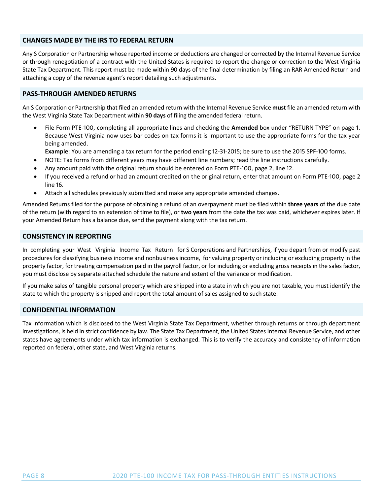# **CHANGES MADE BY THE IRS TO FEDERAL RETURN**

Any S Corporation or Partnership whose reported income or deductions are changed or corrected by the Internal Revenue Service or through renegotiation of a contract with the United States is required to report the change or correction to the West Virginia State Tax Department. This report must be made within 90 days of the final determination by filing an RAR Amended Return and attaching a copy of the revenue agent's report detailing such adjustments.

# **PASS‐THROUGH AMENDED RETURNS**

An S Corporation or Partnership that filed an amended return with the Internal Revenue Service **must** file an amended return with the West Virginia State Tax Department within **90 days** of filing the amended federal return.

File Form PTE-100, completing all appropriate lines and checking the **Amended** box under "RETURN TYPE" on page 1. Because West Virginia now uses bar codes on tax forms it is important to use the appropriate forms for the tax year being amended.

Example: You are amending a tax return for the period ending 12-31-2015; be sure to use the 2015 SPF-100 forms.

- NOTE: Tax forms from different years may have different line numbers; read the line instructions carefully.
- Any amount paid with the original return should be entered on Form PTE-100, page 2, line 12.
- If you received a refund or had an amount credited on the original return, enter that amount on Form PTE-100, page 2 line 16.
- Attach all schedules previously submitted and make any appropriate amended changes.

Amended Returns filed for the purpose of obtaining a refund of an overpayment must be filed within **three years** of the due date of the return (with regard to an extension of time to file), or **two years** from the date the tax was paid, whichever expires later. If your Amended Return has a balance due, send the payment along with the tax return.

## **CONSISTENCY IN REPORTING**

In completing your West Virginia Income Tax Return for S Corporations and Partnerships, if you depart from or modify past procedures for classifying business income and nonbusiness income, for valuing property or including or excluding property in the property factor, for treating compensation paid in the payroll factor, or for including or excluding gross receipts in the sales factor, you must disclose by separate attached schedule the nature and extent of the variance or modification.

If you make sales of tangible personal property which are shipped into a state in which you are not taxable, you must identify the state to which the property is shipped and report the total amount of sales assigned to such state.

## **CONFIDENTIAL INFORMATION**

Tax information which is disclosed to the West Virginia State Tax Department, whether through returns or through department investigations, is held in strict confidence by law. The State Tax Department, the United States Internal Revenue Service, and other states have agreements under which tax information is exchanged. This is to verify the accuracy and consistency of information reported on federal, other state, and West Virginia returns.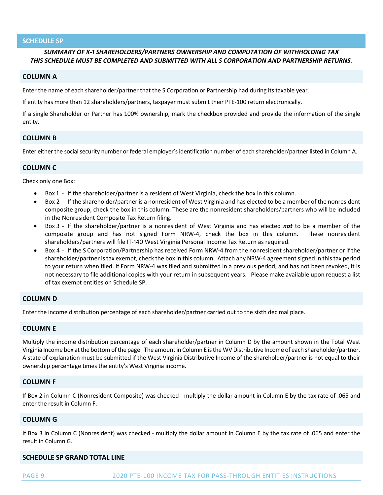## **SCHEDULE SP**

# *SUMMARY OF K‐ϣ SHAREHOLDERS/PARTNERS OWNERSHIP AND COMPUTATION OF WITHHOLDING TAX THIS SCHEDULE MUST BE COMPLETED AND SUBMITTED WITH ALL S CORPORATION AND PARTNERSHIP RETURNS.*

# **COLUMN A**

Enter the name of each shareholder/partner that the S Corporation or Partnership had during its taxable year.

If entity has more than 12 shareholders/partners, taxpayer must submit their PTE‐100 return electronically.

If a single Shareholder or Partner has 100% ownership, mark the checkbox provided and provide the information of the single entity.

# **COLUMN B**

Enter either the social security number or federal employer's identification number of each shareholder/partner listed in Column A.

## **COLUMN C**

Check only one Box:

- Box 1 If the shareholder/partner is a resident of West Virginia, check the box in this column.
- Box 2 If the shareholder/partner is a nonresident of West Virginia and has elected to be a member of the nonresident composite group, check the box in this column. These are the nonresident shareholders/partners who will be included in the Nonresident Composite Tax Return filing.
- Box 3 If the shareholder/partner is a nonresident of West Virginia and has elected not to be a member of the composite group and has not signed Form NRW-4, check the box in this column. These nonresident shareholders/partners will file IT-140 West Virginia Personal Income Tax Return as required.
- Box 4 If the S Corporation/Partnership has received Form NRW-4 from the nonresident shareholder/partner or if the shareholder/partner is tax exempt, check the box in this column. Attach any NRW-4 agreement signed in this tax period to your return when filed. If Form NRW-4 was filed and submitted in a previous period, and has not been revoked, it is not necessary to file additional copies with your return in subsequent years. Please make available upon request a list of tax exempt entities on Schedule SP.

# **COLUMN D**

Enter the income distribution percentage of each shareholder/partner carried out to the sixth decimal place.

# **COLUMN E**

Multiply the income distribution percentage of each shareholder/partner in Column D by the amount shown in the Total West Virginia Income box at the bottom of the page. The amount in Column E is the WV Distributive Income of each shareholder/partner. A state of explanation must be submitted if the West Virginia Distributive Income of the shareholder/partner is not equal to their ownership percentage times the entity's West Virginia income.

## **COLUMN F**

If Box 2 in Column C (Nonresident Composite) was checked ‐ multiply the dollar amount in Column E by the tax rate of .065 and enter the result in Column F.

## **COLUMN G**

If Box 3 in Column C (Nonresident) was checked - multiply the dollar amount in Column E by the tax rate of .065 and enter the result in Column G.

## **SCHEDULE SP GRAND TOTAL LINE**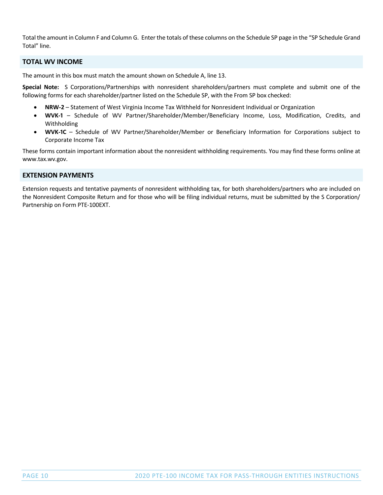Total the amount in Column F and Column G. Enter the totals of these columns on the Schedule SP page in the "SP Schedule Grand Total" line.

# **TOTAL WV INCOME**

The amount in this box must match the amount shown on Schedule A, line 13.

**Special Note:**  S Corporations/Partnerships with nonresident shareholders/partners must complete and submit one of the following forms for each shareholder/partner listed on the Schedule SP, with the From SP box checked:

- **NRW-2** Statement of West Virginia Income Tax Withheld for Nonresident Individual or Organization
- **WVK‐ϣ** Schedule of WV Partner/Shareholder/Member/Beneficiary Income, Loss, Modification, Credits, and Withholding
- **WVK-1C** Schedule of WV Partner/Shareholder/Member or Beneficiary Information for Corporations subject to Corporate Income Tax

These forms contain important information about the nonresident withholding requirements. You may find these forms online at www.tax.wv.gov.

# **EXTENSION PAYMENTS**

Extension requests and tentative payments of nonresident withholding tax, for both shareholders/partners who are included on the Nonresident Composite Return and for those who will be filing individual returns, must be submitted by the S Corporation/ Partnership on Form PTE‐100EXT.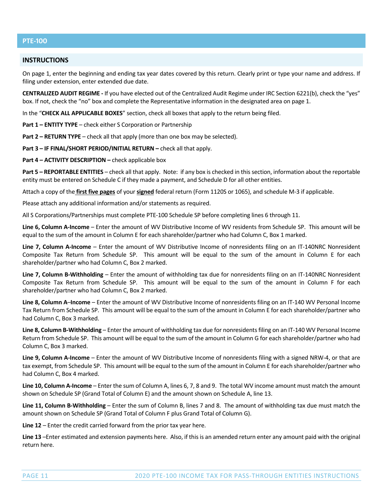# **PTE‐ϣϢϢ**

# **INSTRUCTIONS**

On page 1, enter the beginning and ending tax year dates covered by this return. Clearly print or type your name and address. If filing under extension, enter extended due date.

**CENTRALIZED AUDIT REGIME ‐** If you have elected out of the Centralized Audit Regime under IRC Section 6221(b), check the "yes" box. If not, check the "no" box and complete the Representative information in the designated area on page 1.

In the "**CHECK ALL APPLICABLE BOXES**" section, check all boxes that apply to the return being filed.

**Part 1 – ENTITY TYPE** – check either S Corporation or Partnership

**Part 2 – RETURN TYPE** – check all that apply (more than one box may be selected).

**Part 3 – IF FINAL/SHORT PERIOD/INITIAL RETURN –** check all that apply.

**Part 4 – ACTIVITY DESCRIPTION –** check applicable box

**Part 5 – REPORTABLE ENTITIES** – check all that apply. Note: if any box is checked in thissection, information about the reportable entity must be entered on Schedule C if they made a payment, and Schedule D for all other entities.

Attach a copy of the **first five pages** of your **signed** federal return (Form 1120S or 1065), and schedule M‐3 if applicable.

Please attach any additional information and/or statements as required.

All S Corporations/Partnerships must complete PTE‐100 Schedule SP before completing lines 6 through 11.

**Line 6, Column A‐Income** – Enter the amount of WV Distributive Income of WV residents from Schedule SP. This amount will be equal to the sum of the amount in Column E for each shareholder/partner who had Column C, Box 1 marked.

**Line 7, Column A‐Income** – Enter the amount of WV Distributive Income of nonresidents filing on an IT‐140NRC Nonresident Composite Tax Return from Schedule SP. This amount will be equal to the sum of the amount in Column E for each shareholder/partner who had Column C, Box 2 marked.

**Line 7, Column B‐Withholding** – Enter the amount of withholding tax due for nonresidents filing on an IT‐140NRC Nonresident Composite Tax Return from Schedule SP. This amount will be equal to the sum of the amount in Column F for each shareholder/partner who had Column C, Box 2 marked.

**Line 8, Column A**–**Income** – Enter the amount of WV Distributive Income of nonresidents filing on an IT‐140 WV Personal Income Tax Return from Schedule SP. This amount will be equal to the sum of the amount in Column E for each shareholder/partner who had Column C, Box 3 marked.

**Line 8, Column B‐Withholding** – Enter the amount of withholding tax due for nonresidentsfiling on an IT‐140 WV Personal Income Return from Schedule SP. This amount will be equal to the sum of the amount in Column G for each shareholder/partner who had Column C, Box 3 marked.

**Line 9, Column A‐Income** – Enter the amount of WV Distributive Income of nonresidents filing with a signed NRW‐4, or that are tax exempt, from Schedule SP. This amount will be equal to the sum of the amount in Column E for each shareholder/partner who had Column C, Box 4 marked.

**Line 10, Column A‐Income** – Enter the sum of Column A, lines 6, 7, 8 and 9. The total WV income amount must match the amount shown on Schedule SP (Grand Total of Column E) and the amount shown on Schedule A, line 13.

**Line 11, Column B‐Withholding** – Enter the sum of Column B, lines 7 and 8. The amount of withholding tax due must match the amount shown on Schedule SP (Grand Total of Column F plus Grand Total of Column G).

**Line 12** – Enter the credit carried forward from the prior tax year here.

**Line 13** –Enter estimated and extension payments here. Also, if thisis an amended return enter any amount paid with the original return here.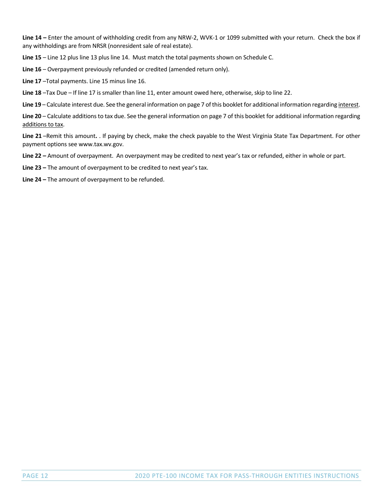**Line 14 –** Enter the amount of withholding credit from any NRW‐2, WVK‐1 or 1099 submitted with your return. Check the box if any withholdings are from NRSR (nonresident sale of real estate).

**Line 15** – Line 12 plus line 13 plus line 14. Must match the total payments shown on Schedule C.

**Line 16** – Overpayment previously refunded or credited (amended return only).

**Line 17** –Total payments. Line 15 minus line 16.

**Line 18** –Tax Due – If line 17 is smaller than line 11, enter amount owed here, otherwise, skip to line 22.

**Line 19** – Calculate interest due. See the general information on page 7 of this booklet for additional information regarding interest.

**Line 20** – Calculate additionsto tax due. See the general information on page 7 of this booklet for additional information regarding additions to tax.

**Line 21** –Remit this amount**.** . If paying by check, make the check payable to the West Virginia State Tax Department. For other payment options see www.tax.wv.gov.

**Line 22 –** Amount of overpayment. An overpayment may be credited to next year's tax or refunded, either in whole or part.

**Line 23 –** The amount of overpayment to be credited to next year's tax.

**Line 24 –** The amount of overpayment to be refunded.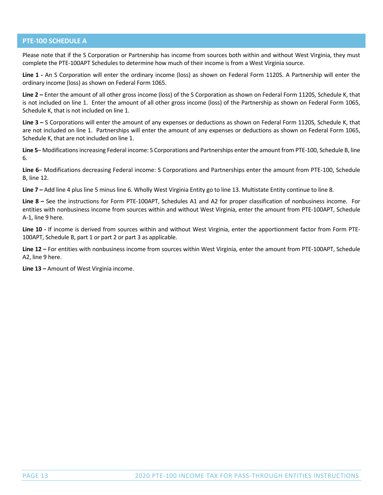# **PTE-100 SCHEDULE A**

Please note that if the S Corporation or Partnership has income from sources both within and without West Virginia, they must complete the PTE‐100APT Schedules to determine how much of their income is from a West Virginia source.

Line 1 - An S Corporation will enter the ordinary income (loss) as shown on Federal Form 1120S. A Partnership will enter the ordinary income (loss) as shown on Federal Form 1065.

**Line 2 –** Enter the amount of all other gross income (loss) of the S Corporation as shown on Federal Form 1120S, Schedule K, that is not included on line 1. Enter the amount of all other gross income (loss) of the Partnership as shown on Federal Form 1065, Schedule K, that is not included on line 1.

**Line 3 –** S Corporations will enter the amount of any expenses or deductions as shown on Federal Form 1120S, Schedule K, that are not included on line 1. Partnerships will enter the amount of any expenses or deductions as shown on Federal Form 1065, Schedule K, that are not included on line 1.

**Line 5**– Modificationsincreasing Federal income: S Corporations and Partnerships enterthe amount from PTE‐100, Schedule B, line 6.

**Line 6**– Modifications decreasing Federal income: S Corporations and Partnerships enter the amount from PTE‐100, Schedule B, line 12.

**Line 7 –** Add line 4 plus line 5 minus line 6. Wholly West Virginia Entity go to line 13. Multistate Entity continue to line 8.

**Line 8 –** See the instructions for Form PTE‐100APT, Schedules A1 and A2 for proper classification of nonbusiness income. For entities with nonbusiness income from sources within and without West Virginia, enter the amount from PTE‐100APT, Schedule A‐1, line 9 here.

Line 10 - If income is derived from sources within and without West Virginia, enter the apportionment factor from Form PTE-100APT, Schedule B, part 1 or part 2 or part 3 as applicable.

**Line 12 –** For entities with nonbusiness income from sources within West Virginia, enter the amount from PTE‐100APT, Schedule A2, line 9 here.

**Line 13 –** Amount of West Virginia income.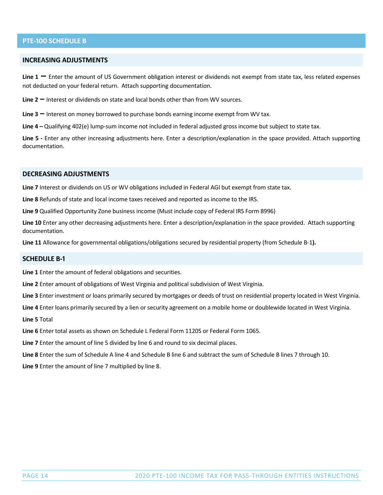# **PTE-100 SCHEDULE B**

## **INCREASING ADJUSTMENTS**

**Line <sup>1</sup> –** Enter the amount of US Government obligation interest or dividends not exempt from state tax, less related expenses not deducted on your federal return. Attach supporting documentation.

**Line 2 –** Interest or dividends on state and local bonds other than from WV sources.

**Line 3 –** Interest on money borrowed to purchase bonds earning income exempt from WV tax.

**Line 4 –** Qualifying 402(e) lump‐sum income not included in federal adjusted gross income but subject to state tax.

**Line 5 ‐** Enter any other increasing adjustments here. Enter a description/explanation in the space provided. Attach supporting documentation.

#### **DECREASING ADJUSTMENTS**

**Line 7** Interest or dividends on US or WV obligations included in Federal AGI but exempt from state tax.

**Line 8** Refunds of state and local income taxes received and reported as income to the IRS.

**Line 9** Qualified Opportunity Zone business income (Must include copy of Federal IRS Form 8996)

**Line 10** Enter any other decreasing adjustments here. Enter a description/explanation in the space provided. Attach supporting documentation.

**Line 11** Allowance for governmental obligations/obligations secured by residential property (from Schedule B‐1**).**

#### **SCHEDULE B-1**

**Line 1** Enter the amount of federal obligations and securities.

**Line 2** Enter amount of obligations of West Virginia and political subdivision of West Virginia.

**Line 3** Enter investment or loans primarily secured by mortgages or deeds of trust on residential property located in West Virginia.

**Line 4** Enter loans primarily secured by a lien or security agreement on a mobile home or doublewide located in West Virginia.

**Line 5** Total

**Line 6** Enter total assets as shown on Schedule L Federal Form 1120S or Federal Form 1065.

**Line 7** Enter the amount of line 5 divided by line 6 and round to six decimal places.

**Line 8** Enter the sum of Schedule A line 4 and Schedule B line 6 and subtract the sum of Schedule B lines 7 through 10.

**Line 9** Enter the amount of line 7 multiplied by line 8.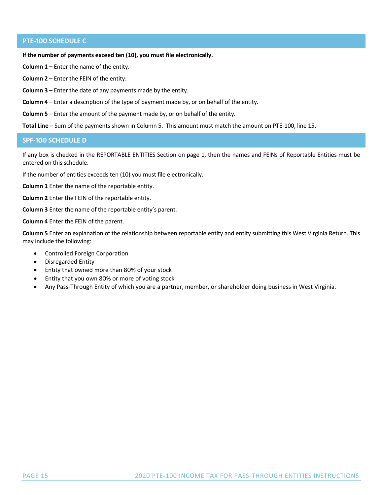# **PTE-100 SCHEDULE C**

**If the number of payments exceed ten (10), you must file electronically.** 

**Column 1 –** Enter the name of the entity.

**Column 2** – Enter the FEIN of the entity.

**Column 3** – Enter the date of any payments made by the entity.

**Column 4** – Enter a description of the type of payment made by, or on behalf of the entity.

**Column 5** – Enter the amount of the payment made by, or on behalf of the entity.

**Total Line** – Sum of the payments shown in Column 5. This amount must match the amount on PTE‐100, line 15.

## **SPF-100 SCHEDULE D**

If any box is checked in the REPORTABLE ENTITIES Section on page 1, then the names and FEINs of Reportable Entities must be entered on this schedule.

If the number of entities exceeds ten (10) you must file electronically.

**Column 1** Enter the name of the reportable entity.

**Column 2** Enter the FEIN of the reportable entity.

**Column 3** Enter the name of the reportable entity's parent.

**Column 4** Enter the FEIN of the parent.

**Column 5** Enter an explanation of the relationship between reportable entity and entity submitting this West Virginia Return. This may include the following:

- Controlled Foreign Corporation
- Disregarded Entity
- Entity that owned more than 80% of your stock
- Entity that you own 80% or more of voting stock
- Any Pass‐Through Entity of which you are a partner, member, or shareholder doing business in West Virginia.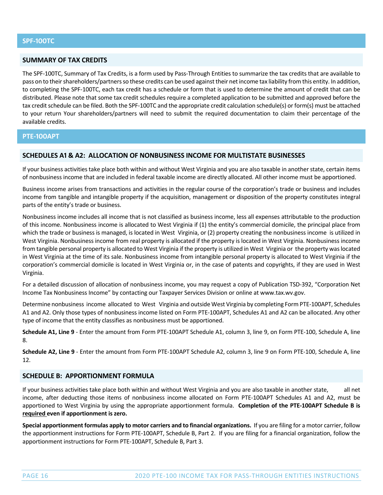# **SUMMARY OF TAX CREDITS**

The SPF‐100TC, Summary of Tax Credits, is a form used by Pass‐Through Entities to summarize the tax credits that are available to pass on to their shareholders/partners so these credits can be used against their net income tax liability from this entity. In addition, to completing the SPF‐100TC, each tax credit has a schedule or form that is used to determine the amount of credit that can be distributed. Please note that some tax credit schedules require a completed application to be submitted and approved before the tax credit schedule can be filed. Both the SPF-100TC and the appropriate credit calculation schedule(s) or form(s) must be attached to your return Your shareholders/partners will need to submit the required documentation to claim their percentage of the available credits.

## **PTE‐ϣϢϢAPT**

## **SCHEDULES Aϣ & AϤ: ALLOCATION OF NONBUSINESS INCOME FOR MULTISTATE BUSINESSES**

If your business activities take place both within and without West Virginia and you are also taxable in another state, certain items of nonbusiness income that are included in federal taxable income are directly allocated. All other income must be apportioned.

Business income arises from transactions and activities in the regular course of the corporation's trade or business and includes income from tangible and intangible property if the acquisition, management or disposition of the property constitutes integral parts of the entity's trade or business.

Nonbusiness income includes all income that is not classified as business income, less all expenses attributable to the production of this income. Nonbusiness income is allocated to West Virginia if (1) the entity's commercial domicile, the principal place from which the trade or business is managed, is located in West Virginia, or (2) property creating the nonbusiness income is utilized in West Virginia. Nonbusiness income from real property is allocated if the property is located in West Virginia. Nonbusiness income from tangible personal property is allocated to West Virginia if the property is utilized in West Virginia or the property waslocated in West Virginia at the time of its sale. Nonbusiness income from intangible personal property is allocated to West Virginia if the corporation's commercial domicile is located in West Virginia or, in the case of patents and copyrights, if they are used in West Virginia.

For a detailed discussion of allocation of nonbusiness income, you may request a copy of Publication TSD‐392, "Corporation Net Income Tax Nonbusiness Income" by contacting our Taxpayer Services Division or online at www.tax.wv.gov.

Determine nonbusiness income allocated to West Virginia and outside West Virginia by completing Form PTE‐100APT, Schedules A1 and A2. Only those types of nonbusiness income listed on Form PTE‐100APT, Schedules A1 and A2 can be allocated. Any other type of income that the entity classifies as nonbusiness must be apportioned.

**Schedule A1, Line 9** ‐ Enter the amount from Form PTE‐100APT Schedule A1, column 3, line 9, on Form PTE‐100, Schedule A, line 8.

**Schedule A2, Line 9** ‐ Enter the amount from Form PTE‐100APT Schedule A2, column 3, line 9 on Form PTE‐100, Schedule A, line 12.

# **SCHEDULE B: APPORTIONMENT FORMULA**

If your business activities take place both within and without West Virginia and you are also taxable in another state, all net income, after deducting those items of nonbusiness income allocated on Form PTE‐100APT Schedules A1 and A2, must be apportioned to West Virginia by using the appropriate apportionment formula. **Completion of the PTE‐100APT Schedule B is required even if apportionment is zero.**

**Special apportionment formulas apply to motor carriers and to financial organizations.** If you are filing for a motor carrier, follow the apportionment instructions for Form PTE‐100APT, Schedule B, Part 2. If you are filing for a financial organization, follow the apportionment instructions for Form PTE‐100APT, Schedule B, Part 3.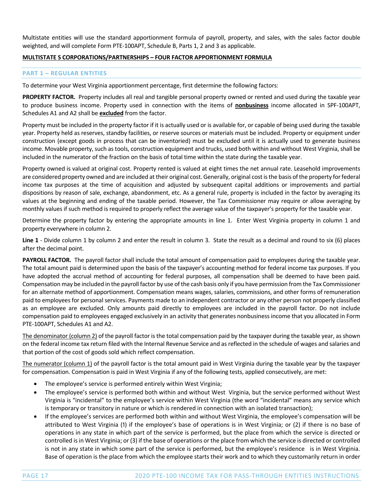Multistate entities will use the standard apportionment formula of payroll, property, and sales, with the sales factor double weighted, and will complete Form PTE‐100APT, Schedule B, Parts 1, 2 and 3 as applicable.

# **MULTISTATE S CORPORATIONS/PARTNERSHIPS – FOUR FACTOR APPORTIONMENT FORMULA**

# **PART 1 – REGULAR ENTITIES**

To determine your West Virginia apportionment percentage, first determine the following factors:

**PROPERTY FACTOR.** Property includes all real and tangible personal property owned or rented and used during the taxable year to produce business income. Property used in connection with the items of **nonbusiness** income allocated in SPF‐100APT, Schedules A1 and A2 shall be **excluded** from the factor.

Property must be included in the property factor if it is actually used or is available for, or capable of being used during the taxable year. Property held as reserves, standby facilities, or reserve sources or materials must be included. Property or equipment under construction (except goods in process that can be inventoried) must be excluded until it is actually used to generate business income. Movable property, such as tools, construction equipment and trucks, used both within and without West Virginia, shall be included in the numerator of the fraction on the basis of total time within the state during the taxable year.

Property owned is valued at original cost. Property rented is valued at eight times the net annual rate. Leasehold improvements are considered property owned and are included at their original cost. Generally, original cost is the basis of the property for federal income tax purposes at the time of acquisition and adjusted by subsequent capital additions or improvements and partial dispositions by reason of sale, exchange, abandonment, etc. As a general rule, property is included in the factor by averaging its values at the beginning and ending of the taxable period. However, the Tax Commissioner may require or allow averaging by monthly values if such method is required to properly reflect the average value of the taxpayer's property for the taxable year.

Determine the property factor by entering the appropriate amounts in line 1. Enter West Virginia property in column 1 and property everywhere in column 2.

**Line 1** - Divide column 1 by column 2 and enter the result in column 3. State the result as a decimal and round to six (6) places after the decimal point.

PAYROLL FACTOR. The payroll factor shall include the total amount of compensation paid to employees during the taxable year. The total amount paid is determined upon the basis of the taxpayer's accounting method for federal income tax purposes. If you have adopted the accrual method of accounting for federal purposes, all compensation shall be deemed to have been paid. Compensation may be included in the payroll factor by use of the cash basis only if you have permission from the Tax Commissioner for an alternate method of apportionment. Compensation means wages, salaries, commissions, and other forms of remuneration paid to employees for personalservices. Payments made to an independent contractor or any other person not properly classified as an employee are excluded. Only amounts paid directly to employees are included in the payroll factor. Do not include compensation paid to employees engaged exclusively in an activity that generates nonbusiness income that you allocated in Form PTE‐100APT, Schedules A1 and A2.

The denominator (column 2) of the payroll factor is the total compensation paid by the taxpayer during the taxable year, as shown on the federal income tax return filed with the Internal Revenue Service and asreflected in the schedule of wages and salaries and that portion of the cost of goods sold which reflect compensation.

The numerator (column 1) of the payroll factor is the total amount paid in West Virginia during the taxable year by the taxpayer for compensation. Compensation is paid in West Virginia if any of the following tests, applied consecutively, are met:

- The employee's service is performed entirely within West Virginia;
- The employee's service is performed both within and without West Virginia, but the service performed without West Virginia is "incidental" to the employee's service within West Virginia (the word "incidental" means any service which is temporary or transitory in nature or which is rendered in connection with an isolated transaction);
- If the employee's services are performed both within and without West Virginia, the employee's compensation will be attributed to West Virginia (1) if the employee's base of operations is in West Virginia; or (2) if there is no base of operations in any state in which part of the service is performed, but the place from which the service is directed or controlled is in West Virginia; or (3) if the base of operations or the place from which the service is directed or controlled is not in any state in which some part of the service is performed, but the employee's residence is in West Virginia. Base of operation is the place from which the employee starts their work and to which they customarily return in order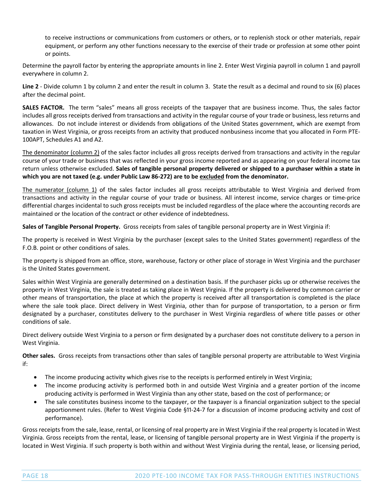to receive instructions or communications from customers or others, or to replenish stock or other materials, repair equipment, or perform any other functions necessary to the exercise of their trade or profession at some other point or points.

Determine the payroll factor by entering the appropriate amounts in line 2. Enter West Virginia payroll in column 1 and payroll everywhere in column 2.

Line 2 - Divide column 1 by column 2 and enter the result in column 3. State the result as a decimal and round to six (6) places after the decimal point.

**SALES FACTOR.** The term "sales" means all gross receipts of the taxpayer that are business income. Thus, the sales factor includes all gross receipts derived from transactions and activity in the regular course of your trade or business, less returns and allowances. Do not include interest or dividends from obligations of the United States government, which are exempt from taxation in West Virginia, or gross receipts from an activity that produced nonbusiness income that you allocated in Form PTE‐ 100APT, Schedules A1 and A2.

The denominator (column 2) of the sales factor includes all gross receipts derived from transactions and activity in the regular course of your trade or business that was reflected in your gross income reported and as appearing on your federal income tax return unless otherwise excluded. Sales of tangible personal property delivered or shipped to a purchaser within a state in which you are not taxed (e.g. under Public Law 86-272) are to be excluded from the denominator.

The numerator (column 1) of the sales factor includes all gross receipts attributable to West Virginia and derived from transactions and activity in the regular course of your trade or business. All interest income, service charges or time‐price differential charges incidental to such gross receipts must be included regardless of the place where the accounting records are maintained or the location of the contract or other evidence of indebtedness.

**Sales of Tangible Personal Property.** Gross receipts from sales of tangible personal property are in West Virginia if:

The property is received in West Virginia by the purchaser (except sales to the United States government) regardless of the F.O.B. point or other conditions of sales.

The property is shipped from an office, store, warehouse, factory or other place of storage in West Virginia and the purchaser is the United States government.

Sales within West Virginia are generally determined on a destination basis. If the purchaser picks up or otherwise receives the property in West Virginia, the sale is treated as taking place in West Virginia. If the property is delivered by common carrier or other means of transportation, the place at which the property is received after all transportation is completed is the place where the sale took place. Direct delivery in West Virginia, other than for purpose of transportation, to a person or firm designated by a purchaser, constitutes delivery to the purchaser in West Virginia regardless of where title passes or other conditions of sale.

Direct delivery outside West Virginia to a person or firm designated by a purchaser does not constitute delivery to a person in West Virginia.

**Other sales.** Gross receipts from transactions other than sales of tangible personal property are attributable to West Virginia if:

- The income producing activity which gives rise to the receipts is performed entirely in West Virginia;
- The income producing activity is performed both in and outside West Virginia and a greater portion of the income producing activity is performed in West Virginia than any other state, based on the cost of performance; or
- The sale constitutes business income to the taxpayer, or the taxpayer is a financial organization subject to the special apportionment rules. (Refer to West Virginia Code §11-24-7 for a discussion of income producing activity and cost of performance).

Gross receipts from the sale, lease, rental, or licensing of real property are in West Virginia if the real property is located in West Virginia. Gross receipts from the rental, lease, or licensing of tangible personal property are in West Virginia if the property is located in West Virginia. If such property is both within and without West Virginia during the rental, lease, or licensing period,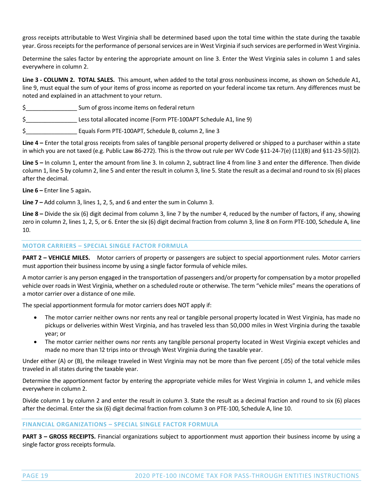gross receipts attributable to West Virginia shall be determined based upon the total time within the state during the taxable year. Gross receipts for the performance of personal services are in West Virginia if such services are performed in West Virginia.

Determine the sales factor by entering the appropriate amount on line 3. Enter the West Virginia sales in column 1 and sales everywhere in column 2.

**Line 3 ‐ COLUMN 2. TOTAL SALES.** This amount, when added to the total gross nonbusiness income, as shown on Schedule A1, line 9, must equal the sum of your items of gross income as reported on your federal income tax return. Any differences must be noted and explained in an attachment to your return.

- \$\_\_\_\_\_\_\_\_\_\_\_\_\_\_\_\_ Sum of gross income items on federal return
- \$ Less total allocated income (Form PTE-100APT Schedule A1, line 9)
- \$\_\_\_\_\_\_\_\_\_\_\_\_\_\_\_\_ Equals Form PTE‐100APT, Schedule B, column 2, line 3

**Line 4 –** Enter the total gross receipts from sales of tangible personal property delivered or shipped to a purchaser within a state in which you are not taxed (e.g. Public Law 86‐272). This is the throw out rule per WV Code §11‐24‐7(e) (11)(B) and §11‐23‐5(l)(2).

**Line 5 –** In column 1, enter the amount from line 3. In column 2, subtract line 4 from line 3 and enter the difference. Then divide column 1, line 5 by column 2, line 5 and enter the result in column 3, line 5. State the result as a decimal and round to six (6) places after the decimal.

**Line 6 –** Enter line 5 again**.**

**Line 7 –** Add column 3, lines 1, 2, 5, and 6 and enter the sum in Column 3.

**Line 8 –** Divide the six (6) digit decimal from column 3, line 7 by the number 4, reduced by the number of factors, if any, showing zero in column 2, lines 1, 2, 5, or 6. Enter the six (6) digit decimal fraction from column 3, line 8 on Form PTE‐100, Schedule A, line 10.

## **MOTOR CARRIERS – SPECIAL SINGLE FACTOR FORMULA**

**PART 2 – VEHICLE MILES.** Motor carriers of property or passengers are subject to special apportionment rules. Motor carriers must apportion their business income by using a single factor formula of vehicle miles.

A motor carrier is any person engaged in the transportation of passengers and/or property for compensation by a motor propelled vehicle over roads in West Virginia, whether on a scheduled route or otherwise. The term "vehicle miles" means the operations of a motor carrier over a distance of one mile.

The special apportionment formula for motor carriers does NOT apply if:

- The motor carrier neither owns nor rents any real or tangible personal property located in West Virginia, has made no pickups or deliveries within West Virginia, and has traveled less than 50,000 miles in West Virginia during the taxable year; or
- The motor carrier neither owns nor rents any tangible personal property located in West Virginia except vehicles and made no more than 12 trips into or through West Virginia during the taxable year.

Under either (A) or (B), the mileage traveled in West Virginia may not be more than five percent (.05) of the total vehicle miles traveled in all states during the taxable year.

Determine the apportionment factor by entering the appropriate vehicle miles for West Virginia in column 1, and vehicle miles everywhere in column 2.

Divide column 1 by column 2 and enter the result in column 3. State the result as a decimal fraction and round to six (6) places after the decimal. Enter the six (6) digit decimal fraction from column 3 on PTE‐100, Schedule A, line 10.

## **FINANCIAL ORGANIZATIONS – SPECIAL SINGLE FACTOR FORMULA**

**PART 3 – GROSS RECEIPTS.** Financial organizations subject to apportionment must apportion their business income by using a single factor gross receipts formula.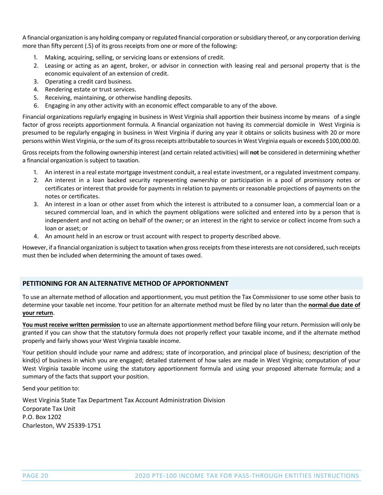A financial organization is any holding company orregulated financial corporation orsubsidiary thereof, or any corporation deriving more than fifty percent (.5) of its gross receipts from one or more of the following:

- 1. Making, acquiring, selling, or servicing loans or extensions of credit.
- 2. Leasing or acting as an agent, broker, or advisor in connection with leasing real and personal property that is the economic equivalent of an extension of credit.
- 3. Operating a credit card business.
- 4. Rendering estate or trust services.
- 5. Receiving, maintaining, or otherwise handling deposits.
- 6. Engaging in any other activity with an economic effect comparable to any of the above.

Financial organizations regularly engaging in business in West Virginia shall apportion their business income by means of a single factor of gross receipts apportionment formula. A financial organization not having its commercial domicile in West Virginia is presumed to be regularly engaging in business in West Virginia if during any year it obtains or solicits business with 20 or more persons within West Virginia, or the sum of its gross receipts attributable to sources in West Virginia equals or exceeds \$100,000.00.

Grossreceipts from the following ownership interest (and certain related activities) will **not** be considered in determining whether a financial organization is subject to taxation.

- 1. An interest in a real estate mortgage investment conduit, a real estate investment, or a regulated investment company.
- 2. An interest in a loan backed security representing ownership or participation in a pool of promissory notes or certificates or interest that provide for payments in relation to payments or reasonable projections of payments on the notes or certificates.
- 3. An interest in a loan or other asset from which the interest is attributed to a consumer loan, a commercial loan or a secured commercial loan, and in which the payment obligations were solicited and entered into by a person that is independent and not acting on behalf of the owner; or an interest in the right to service or collect income from such a loan or asset; or
- 4. An amount held in an escrow or trust account with respect to property described above.

However, if a financial organization is subject to taxation when gross receipts from these interests are not considered, such receipts must then be included when determining the amount of taxes owed.

# **PETITIONING FOR AN ALTERNATIVE METHOD OF APPORTIONMENT**

To use an alternate method of allocation and apportionment, you must petition the Tax Commissioner to use some other basis to determine your taxable net income. Your petition for an alternate method must be filed by no later than the **normal due date of your return**.

**You must receive written permission** to use an alternate apportionment method before filing your return. Permission will only be granted if you can show that the statutory formula does not properly reflect your taxable income, and if the alternate method properly and fairly shows your West Virginia taxable income.

Your petition should include your name and address; state of incorporation, and principal place of business; description of the kind(s) of business in which you are engaged; detailed statement of how sales are made in West Virginia; computation of your West Virginia taxable income using the statutory apportionment formula and using your proposed alternate formula; and a summary of the facts that support your position.

Send your petition to:

West Virginia State Tax Department Tax Account Administration Division Corporate Tax Unit P.O. Box 1202 Charleston, WV 25339‐1751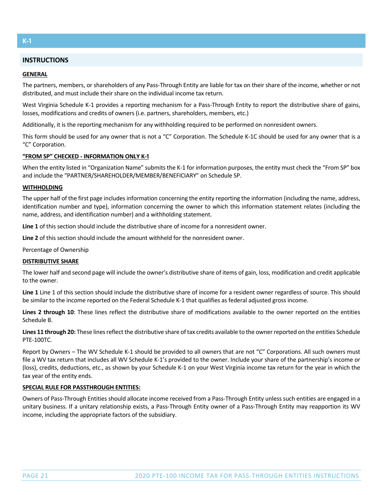# **K‐ϣ**

# **INSTRUCTIONS**

#### **GENERAL**

The partners, members, or shareholders of any Pass‐Through Entity are liable for tax on their share of the income, whether or not distributed, and must include their share on the individual income tax return.

West Virginia Schedule K-1 provides a reporting mechanism for a Pass-Through Entity to report the distributive share of gains, losses, modifications and credits of owners (i.e. partners, shareholders, members, etc.)

Additionally, it is the reporting mechanism for any withholding required to be performed on nonresident owners.

This form should be used for any owner that is not a "C" Corporation. The Schedule K‐1C should be used for any owner that is a "C" Corporation.

#### **"FROM SP" CHECKED ‐ INFORMATION ONLY K‐ϣ**

When the entity listed in "Organization Name" submits the K-1 for information purposes, the entity must check the "From SP" box and include the "PARTNER/SHAREHOLDER/MEMBER/BENEFICIARY" on Schedule SP.

#### **WITHHOLDING**

The upper half of the first page includes information concerning the entity reporting the information (including the name, address, identification number and type), information concerning the owner to which this information statement relates (including the name, address, and identification number) and a withholding statement.

**Line 1** of this section should include the distributive share of income for a nonresident owner.

**Line 2** of this section should include the amount withheld for the nonresident owner.

Percentage of Ownership

## **DISTRIBUTIVE SHARE**

The lower half and second page will include the owner's distributive share of items of gain, loss, modification and credit applicable to the owner.

**Line 1** Line 1 of this section should include the distributive share of income for a resident owner regardless of source. This should be similar to the income reported on the Federal Schedule K‐1 that qualifies as federal adjusted gross income.

**Lines 2 through 10**: These lines reflect the distributive share of modifications available to the owner reported on the entities Schedule B.

Lines 11 through 20: These lines reflect the distributive share of tax credits available to the owner reported on the entities Schedule PTE‐100TC.

Report by Owners – The WV Schedule K-1 should be provided to all owners that are not "C" Corporations. All such owners must file a WV tax return that includes all WV Schedule K‐1's provided to the owner. Include your share of the partnership's income or (loss), credits, deductions, etc., as shown by your Schedule K‐1 on your West Virginia income tax return for the year in which the tax year of the entity ends.

## **SPECIAL RULE FOR PASSTHROUGH ENTITIES:**

Owners of Pass‐Through Entities should allocate income received from a Pass‐Through Entity unless such entities are engaged in a unitary business. If a unitary relationship exists, a Pass‐Through Entity owner of a Pass‐Through Entity may reapportion its WV income, including the appropriate factors of the subsidiary.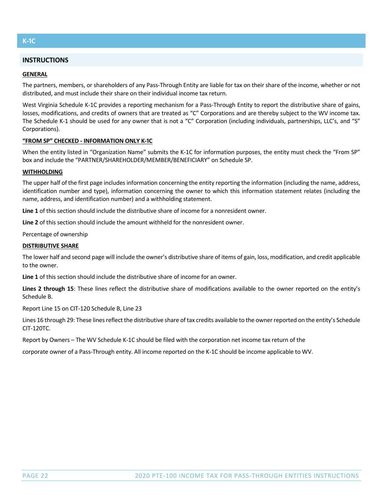# **K‐ϣC**

# **INSTRUCTIONS**

### **GENERAL**

The partners, members, or shareholders of any Pass‐Through Entity are liable for tax on their share of the income, whether or not distributed, and must include their share on their individual income tax return.

West Virginia Schedule K-1C provides a reporting mechanism for a Pass-Through Entity to report the distributive share of gains, losses, modifications, and credits of owners that are treated as "C" Corporations and are thereby subject to the WV income tax. The Schedule K-1 should be used for any owner that is not a "C" Corporation (including individuals, partnerships, LLC's, and "S" Corporations).

### **WEROM SP" CHECKED - INFORMATION ONLY K-1C**

When the entity listed in "Organization Name" submits the K‐1C for information purposes, the entity must check the "From SP" box and include the "PARTNER/SHAREHOLDER/MEMBER/BENEFICIARY" on Schedule SP.

#### **WITHHOLDING**

The upper half of the first page includes information concerning the entity reporting the information (including the name, address, identification number and type), information concerning the owner to which this information statement relates (including the name, address, and identification number) and a withholding statement.

**Line 1** of this section should include the distributive share of income for a nonresident owner.

**Line 2** of this section should include the amount withheld for the nonresident owner.

Percentage of ownership

#### **DISTRIBUTIVE SHARE**

The lower half and second page will include the owner's distributive share of items of gain, loss, modification, and credit applicable to the owner.

**Line 1** of this section should include the distributive share of income for an owner.

**Lines 2 through 15**: These lines reflect the distributive share of modifications available to the owner reported on the entity's Schedule B.

Report Line 15 on CIT‐120 Schedule B, Line 23

Lines 16 through 29: These lines reflect the distributive share of tax credits available to the owner reported on the entity's Schedule CIT‐120TC.

Report by Owners – The WV Schedule K‐1C should be filed with the corporation net income tax return of the

corporate owner of a Pass‐Through entity. All income reported on the K‐1C should be income applicable to WV.